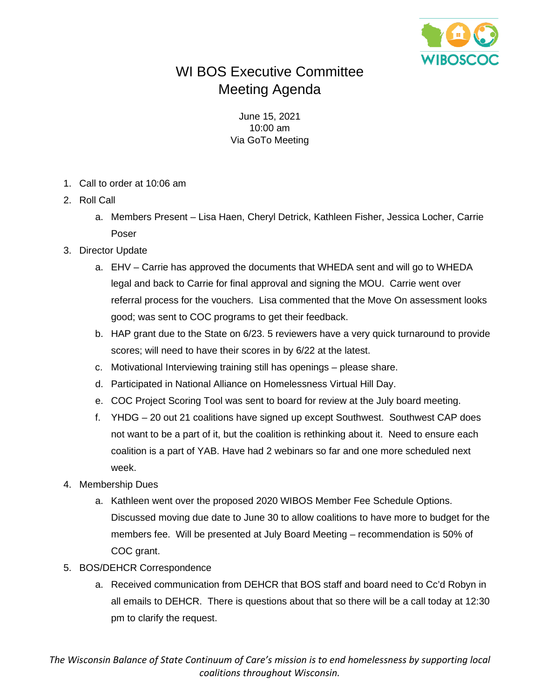

## WI BOS Executive Committee Meeting Agenda

June 15, 2021 10:00 am Via GoTo Meeting

- 1. Call to order at 10:06 am
- 2. Roll Call
	- a. Members Present Lisa Haen, Cheryl Detrick, Kathleen Fisher, Jessica Locher, Carrie Poser
- 3. Director Update
	- a. EHV Carrie has approved the documents that WHEDA sent and will go to WHEDA legal and back to Carrie for final approval and signing the MOU. Carrie went over referral process for the vouchers. Lisa commented that the Move On assessment looks good; was sent to COC programs to get their feedback.
	- b. HAP grant due to the State on 6/23. 5 reviewers have a very quick turnaround to provide scores; will need to have their scores in by 6/22 at the latest.
	- c. Motivational Interviewing training still has openings please share.
	- d. Participated in National Alliance on Homelessness Virtual Hill Day.
	- e. COC Project Scoring Tool was sent to board for review at the July board meeting.
	- f. YHDG 20 out 21 coalitions have signed up except Southwest. Southwest CAP does not want to be a part of it, but the coalition is rethinking about it. Need to ensure each coalition is a part of YAB. Have had 2 webinars so far and one more scheduled next week.
- 4. Membership Dues
	- a. Kathleen went over the proposed 2020 WIBOS Member Fee Schedule Options. Discussed moving due date to June 30 to allow coalitions to have more to budget for the members fee. Will be presented at July Board Meeting – recommendation is 50% of COC grant.
- 5. BOS/DEHCR Correspondence
	- a. Received communication from DEHCR that BOS staff and board need to Cc'd Robyn in all emails to DEHCR. There is questions about that so there will be a call today at 12:30 pm to clarify the request.